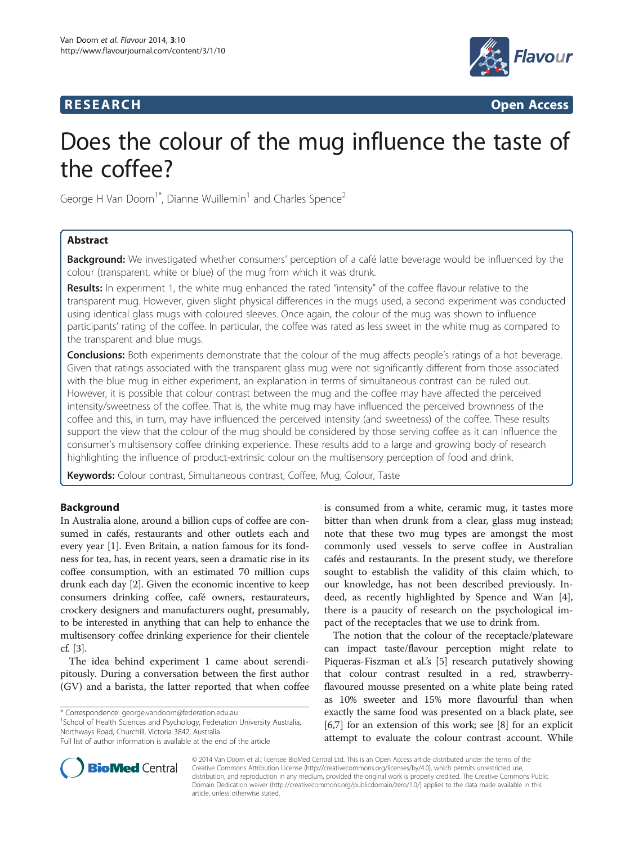# **RESEARCH CHINESEARCH CHINESEARCH**



# Does the colour of the mug influence the taste of the coffee?

George H Van Doorn<sup>1\*</sup>, Dianne Wuillemin<sup>1</sup> and Charles Spence<sup>2</sup>

# Abstract

**Background:** We investigated whether consumers' perception of a café latte beverage would be influenced by the colour (transparent, white or blue) of the mug from which it was drunk.

Results: In experiment 1, the white mug enhanced the rated "intensity" of the coffee flavour relative to the transparent mug. However, given slight physical differences in the mugs used, a second experiment was conducted using identical glass mugs with coloured sleeves. Once again, the colour of the mug was shown to influence participants' rating of the coffee. In particular, the coffee was rated as less sweet in the white mug as compared to the transparent and blue mugs.

Conclusions: Both experiments demonstrate that the colour of the mug affects people's ratings of a hot beverage. Given that ratings associated with the transparent glass mug were not significantly different from those associated with the blue mug in either experiment, an explanation in terms of simultaneous contrast can be ruled out. However, it is possible that colour contrast between the mug and the coffee may have affected the perceived intensity/sweetness of the coffee. That is, the white mug may have influenced the perceived brownness of the coffee and this, in turn, may have influenced the perceived intensity (and sweetness) of the coffee. These results support the view that the colour of the mug should be considered by those serving coffee as it can influence the consumer's multisensory coffee drinking experience. These results add to a large and growing body of research highlighting the influence of product-extrinsic colour on the multisensory perception of food and drink.

Keywords: Colour contrast, Simultaneous contrast, Coffee, Mug, Colour, Taste

# Background

In Australia alone, around a billion cups of coffee are consumed in cafés, restaurants and other outlets each and every year [\[1\]](#page-5-0). Even Britain, a nation famous for its fondness for tea, has, in recent years, seen a dramatic rise in its coffee consumption, with an estimated 70 million cups drunk each day [[2\]](#page-5-0). Given the economic incentive to keep consumers drinking coffee, café owners, restaurateurs, crockery designers and manufacturers ought, presumably, to be interested in anything that can help to enhance the multisensory coffee drinking experience for their clientele cf. [[3](#page-5-0)].

The idea behind experiment 1 came about serendipitously. During a conversation between the first author (GV) and a barista, the latter reported that when coffee

\* Correspondence: [george.vandoorn@federation.edu.au](mailto:george.vandoorn@federation.edu.au) <sup>1</sup>

<sup>1</sup>School of Health Sciences and Psychology, Federation University Australia, Northways Road, Churchill, Victoria 3842, Australia

is consumed from a white, ceramic mug, it tastes more bitter than when drunk from a clear, glass mug instead; note that these two mug types are amongst the most commonly used vessels to serve coffee in Australian cafés and restaurants. In the present study, we therefore sought to establish the validity of this claim which, to our knowledge, has not been described previously. Indeed, as recently highlighted by Spence and Wan [\[4](#page-5-0)], there is a paucity of research on the psychological impact of the receptacles that we use to drink from.

The notion that the colour of the receptacle/plateware can impact taste/flavour perception might relate to Piqueras-Fiszman et al.'s [[5](#page-5-0)] research putatively showing that colour contrast resulted in a red, strawberryflavoured mousse presented on a white plate being rated as 10% sweeter and 15% more flavourful than when exactly the same food was presented on a black plate, see [[6,7\]](#page-6-0) for an extension of this work; see [\[8\]](#page-6-0) for an explicit attempt to evaluate the colour contrast account. While



© 2014 Van Doorn et al.; licensee BioMed Central Ltd. This is an Open Access article distributed under the terms of the Creative Commons Attribution License (<http://creativecommons.org/licenses/by/4.0>), which permits unrestricted use, distribution, and reproduction in any medium, provided the original work is properly credited. The Creative Commons Public Domain Dedication waiver [\(http://creativecommons.org/publicdomain/zero/1.0/\)](http://creativecommons.org/publicdomain/zero/1.0/) applies to the data made available in this article, unless otherwise stated.

Full list of author information is available at the end of the article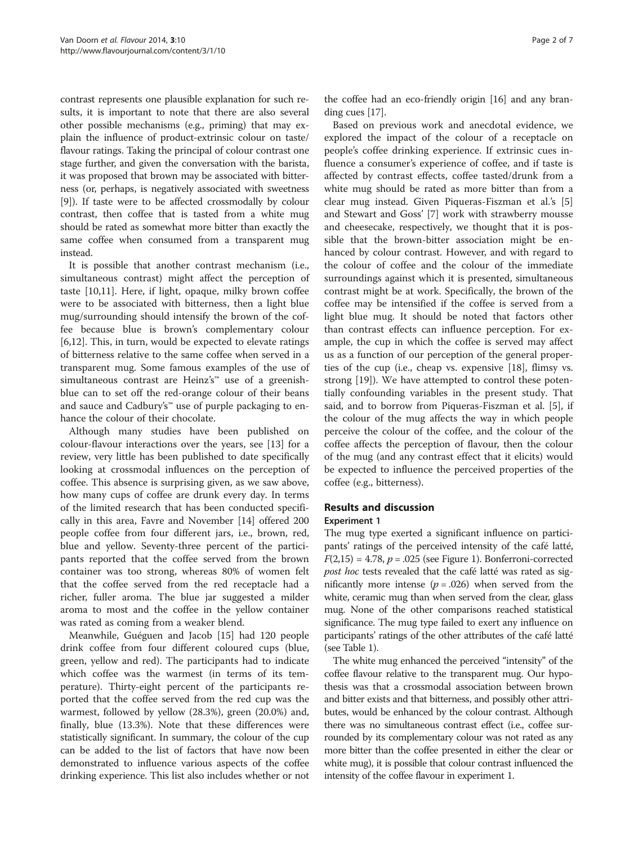contrast represents one plausible explanation for such results, it is important to note that there are also several other possible mechanisms (e.g., priming) that may explain the influence of product-extrinsic colour on taste/ flavour ratings. Taking the principal of colour contrast one stage further, and given the conversation with the barista, it was proposed that brown may be associated with bitterness (or, perhaps, is negatively associated with sweetness [[9\]](#page-6-0)). If taste were to be affected crossmodally by colour contrast, then coffee that is tasted from a white mug should be rated as somewhat more bitter than exactly the same coffee when consumed from a transparent mug instead.

It is possible that another contrast mechanism (i.e., simultaneous contrast) might affect the perception of taste [[10,11\]](#page-6-0). Here, if light, opaque, milky brown coffee were to be associated with bitterness, then a light blue mug/surrounding should intensify the brown of the coffee because blue is brown's complementary colour [[6,12\]](#page-6-0). This, in turn, would be expected to elevate ratings of bitterness relative to the same coffee when served in a transparent mug. Some famous examples of the use of simultaneous contrast are Heinz's™ use of a greenishblue can to set off the red-orange colour of their beans and sauce and Cadbury's™ use of purple packaging to enhance the colour of their chocolate.

Although many studies have been published on colour-flavour interactions over the years, see [\[13\]](#page-6-0) for a review, very little has been published to date specifically looking at crossmodal influences on the perception of coffee. This absence is surprising given, as we saw above, how many cups of coffee are drunk every day. In terms of the limited research that has been conducted specifically in this area, Favre and November [[14](#page-6-0)] offered 200 people coffee from four different jars, i.e., brown, red, blue and yellow. Seventy-three percent of the participants reported that the coffee served from the brown container was too strong, whereas 80% of women felt that the coffee served from the red receptacle had a richer, fuller aroma. The blue jar suggested a milder aroma to most and the coffee in the yellow container was rated as coming from a weaker blend.

Meanwhile, Guéguen and Jacob [\[15\]](#page-6-0) had 120 people drink coffee from four different coloured cups (blue, green, yellow and red). The participants had to indicate which coffee was the warmest (in terms of its temperature). Thirty-eight percent of the participants reported that the coffee served from the red cup was the warmest, followed by yellow (28.3%), green (20.0%) and, finally, blue (13.3%). Note that these differences were statistically significant. In summary, the colour of the cup can be added to the list of factors that have now been demonstrated to influence various aspects of the coffee drinking experience. This list also includes whether or not

the coffee had an eco-friendly origin [\[16\]](#page-6-0) and any branding cues [\[17\]](#page-6-0).

Based on previous work and anecdotal evidence, we explored the impact of the colour of a receptacle on people's coffee drinking experience. If extrinsic cues influence a consumer's experience of coffee, and if taste is affected by contrast effects, coffee tasted/drunk from a white mug should be rated as more bitter than from a clear mug instead. Given Piqueras-Fiszman et al.'s [\[5](#page-5-0)] and Stewart and Goss' [\[7](#page-6-0)] work with strawberry mousse and cheesecake, respectively, we thought that it is possible that the brown-bitter association might be enhanced by colour contrast. However, and with regard to the colour of coffee and the colour of the immediate surroundings against which it is presented, simultaneous contrast might be at work. Specifically, the brown of the coffee may be intensified if the coffee is served from a light blue mug. It should be noted that factors other than contrast effects can influence perception. For example, the cup in which the coffee is served may affect us as a function of our perception of the general properties of the cup (i.e., cheap vs. expensive [[18](#page-6-0)], flimsy vs. strong [\[19\]](#page-6-0)). We have attempted to control these potentially confounding variables in the present study. That said, and to borrow from Piqueras-Fiszman et al. [\[5\]](#page-5-0), if the colour of the mug affects the way in which people perceive the colour of the coffee, and the colour of the coffee affects the perception of flavour, then the colour of the mug (and any contrast effect that it elicits) would be expected to influence the perceived properties of the coffee (e.g., bitterness).

## Results and discussion Experiment 1

The mug type exerted a significant influence on participants' ratings of the perceived intensity of the café latté,  $F(2,15) = 4.78$ ,  $p = .025$  (see Figure [1\)](#page-2-0). Bonferroni-corrected post hoc tests revealed that the café latté was rated as significantly more intense ( $p = .026$ ) when served from the white, ceramic mug than when served from the clear, glass mug. None of the other comparisons reached statistical significance. The mug type failed to exert any influence on participants' ratings of the other attributes of the café latté (see Table [1\)](#page-2-0).

The white mug enhanced the perceived "intensity" of the coffee flavour relative to the transparent mug. Our hypothesis was that a crossmodal association between brown and bitter exists and that bitterness, and possibly other attributes, would be enhanced by the colour contrast. Although there was no simultaneous contrast effect (i.e., coffee surrounded by its complementary colour was not rated as any more bitter than the coffee presented in either the clear or white mug), it is possible that colour contrast influenced the intensity of the coffee flavour in experiment 1.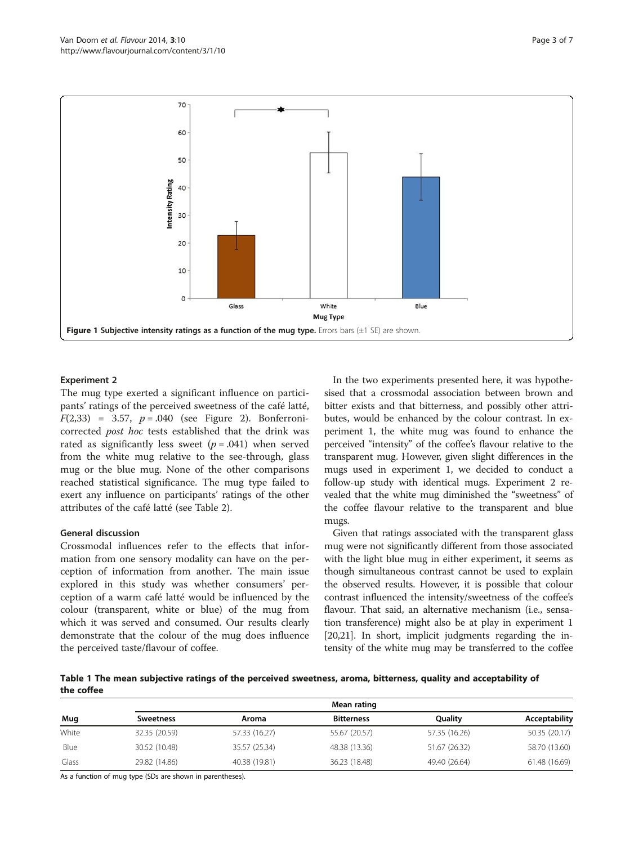<span id="page-2-0"></span>

## Experiment 2

The mug type exerted a significant influence on participants' ratings of the perceived sweetness of the café latté,  $F(2,33) = 3.57, p = .040$  (see Figure [2](#page-3-0)). Bonferronicorrected post hoc tests established that the drink was rated as significantly less sweet  $(p=.041)$  when served from the white mug relative to the see-through, glass mug or the blue mug. None of the other comparisons reached statistical significance. The mug type failed to exert any influence on participants' ratings of the other attributes of the café latté (see Table [2\)](#page-3-0).

# General discussion

Crossmodal influences refer to the effects that information from one sensory modality can have on the perception of information from another. The main issue explored in this study was whether consumers' perception of a warm café latté would be influenced by the colour (transparent, white or blue) of the mug from which it was served and consumed. Our results clearly demonstrate that the colour of the mug does influence the perceived taste/flavour of coffee.

In the two experiments presented here, it was hypothesised that a crossmodal association between brown and bitter exists and that bitterness, and possibly other attributes, would be enhanced by the colour contrast. In experiment 1, the white mug was found to enhance the perceived "intensity" of the coffee's flavour relative to the transparent mug. However, given slight differences in the mugs used in experiment 1, we decided to conduct a follow-up study with identical mugs. Experiment 2 revealed that the white mug diminished the "sweetness" of the coffee flavour relative to the transparent and blue mugs.

Given that ratings associated with the transparent glass mug were not significantly different from those associated with the light blue mug in either experiment, it seems as though simultaneous contrast cannot be used to explain the observed results. However, it is possible that colour contrast influenced the intensity/sweetness of the coffee's flavour. That said, an alternative mechanism (i.e., sensation transference) might also be at play in experiment 1 [[20](#page-6-0),[21](#page-6-0)]. In short, implicit judgments regarding the intensity of the white mug may be transferred to the coffee

Table 1 The mean subjective ratings of the perceived sweetness, aroma, bitterness, quality and acceptability of the coffee

| Mug   | Mean rating      |               |                   |               |               |  |  |
|-------|------------------|---------------|-------------------|---------------|---------------|--|--|
|       | <b>Sweetness</b> | Aroma         | <b>Bitterness</b> | Quality       | Acceptability |  |  |
| White | 32.35 (20.59)    | 57.33 (16.27) | 55.67 (20.57)     | 57.35 (16.26) | 50.35 (20.17) |  |  |
| Blue  | 30.52 (10.48)    | 35.57 (25.34) | 48.38 (13.36)     | 51.67 (26.32) | 58.70 (13.60) |  |  |
| Glass | 29.82 (14.86)    | 40.38 (19.81) | 36.23 (18.48)     | 49.40 (26.64) | 61.48 (16.69) |  |  |

As a function of mug type (SDs are shown in parentheses).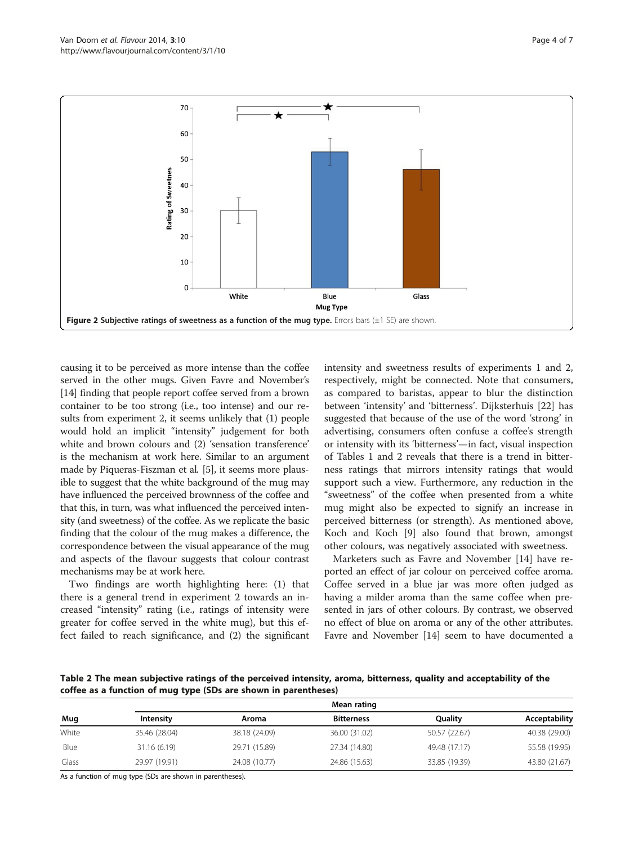<span id="page-3-0"></span>

causing it to be perceived as more intense than the coffee served in the other mugs. Given Favre and November's [[14](#page-6-0)] finding that people report coffee served from a brown container to be too strong (i.e., too intense) and our results from experiment 2, it seems unlikely that (1) people would hold an implicit "intensity" judgement for both white and brown colours and (2) 'sensation transference' is the mechanism at work here. Similar to an argument made by Piqueras-Fiszman et al. [\[5](#page-5-0)], it seems more plausible to suggest that the white background of the mug may have influenced the perceived brownness of the coffee and that this, in turn, was what influenced the perceived intensity (and sweetness) of the coffee. As we replicate the basic finding that the colour of the mug makes a difference, the correspondence between the visual appearance of the mug and aspects of the flavour suggests that colour contrast mechanisms may be at work here.

Two findings are worth highlighting here: (1) that there is a general trend in experiment 2 towards an increased "intensity" rating (i.e., ratings of intensity were greater for coffee served in the white mug), but this effect failed to reach significance, and (2) the significant intensity and sweetness results of experiments 1 and 2, respectively, might be connected. Note that consumers, as compared to baristas, appear to blur the distinction between 'intensity' and 'bitterness'. Dijksterhuis [\[22](#page-6-0)] has suggested that because of the use of the word 'strong' in advertising, consumers often confuse a coffee's strength or intensity with its 'bitterness'—in fact, visual inspection of Tables [1](#page-2-0) and 2 reveals that there is a trend in bitterness ratings that mirrors intensity ratings that would support such a view. Furthermore, any reduction in the "sweetness" of the coffee when presented from a white mug might also be expected to signify an increase in perceived bitterness (or strength). As mentioned above, Koch and Koch [[9\]](#page-6-0) also found that brown, amongst other colours, was negatively associated with sweetness.

Marketers such as Favre and November [[14](#page-6-0)] have reported an effect of jar colour on perceived coffee aroma. Coffee served in a blue jar was more often judged as having a milder aroma than the same coffee when presented in jars of other colours. By contrast, we observed no effect of blue on aroma or any of the other attributes. Favre and November [[14\]](#page-6-0) seem to have documented a

Table 2 The mean subjective ratings of the perceived intensity, aroma, bitterness, quality and acceptability of the coffee as a function of mug type (SDs are shown in parentheses)

| Mug   | Mean rating      |               |                   |               |               |  |  |
|-------|------------------|---------------|-------------------|---------------|---------------|--|--|
|       | <b>Intensity</b> | Aroma         | <b>Bitterness</b> | Quality       | Acceptability |  |  |
| White | 35.46 (28.04)    | 38.18 (24.09) | 36.00 (31.02)     | 50.57 (22.67) | 40.38 (29.00) |  |  |
| Blue  | 31.16 (6.19)     | 29.71 (15.89) | 27.34 (14.80)     | 49.48 (17.17) | 55.58 (19.95) |  |  |
| Glass | 29.97 (19.91)    | 24.08 (10.77) | 24.86 (15.63)     | 33.85 (19.39) | 43.80 (21.67) |  |  |

As a function of mug type (SDs are shown in parentheses).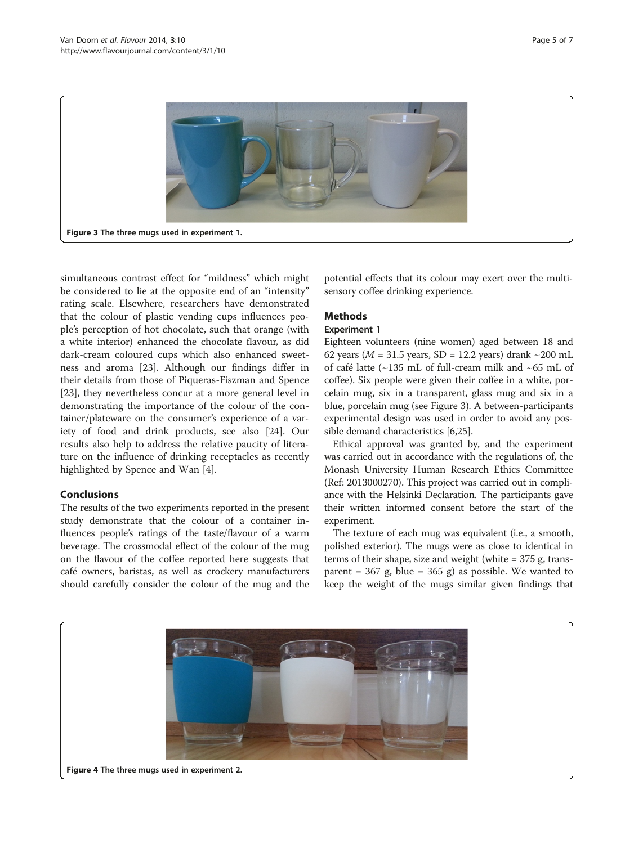<span id="page-4-0"></span>

simultaneous contrast effect for "mildness" which might be considered to lie at the opposite end of an "intensity" rating scale. Elsewhere, researchers have demonstrated that the colour of plastic vending cups influences people's perception of hot chocolate, such that orange (with a white interior) enhanced the chocolate flavour, as did dark-cream coloured cups which also enhanced sweetness and aroma [\[23\]](#page-6-0). Although our findings differ in their details from those of Piqueras-Fiszman and Spence [[23\]](#page-6-0), they nevertheless concur at a more general level in demonstrating the importance of the colour of the container/plateware on the consumer's experience of a variety of food and drink products, see also [[24](#page-6-0)]. Our results also help to address the relative paucity of literature on the influence of drinking receptacles as recently highlighted by Spence and Wan [\[4](#page-5-0)].

# Conclusions

The results of the two experiments reported in the present study demonstrate that the colour of a container influences people's ratings of the taste/flavour of a warm beverage. The crossmodal effect of the colour of the mug on the flavour of the coffee reported here suggests that café owners, baristas, as well as crockery manufacturers should carefully consider the colour of the mug and the

potential effects that its colour may exert over the multisensory coffee drinking experience.

# **Methods**

## Experiment 1

Eighteen volunteers (nine women) aged between 18 and 62 years ( $M = 31.5$  years, SD = 12.2 years) drank  $\sim$  200 mL of café latte ( $\sim$ 135 mL of full-cream milk and  $\sim$ 65 mL of coffee). Six people were given their coffee in a white, porcelain mug, six in a transparent, glass mug and six in a blue, porcelain mug (see Figure 3). A between-participants experimental design was used in order to avoid any possible demand characteristics [[6,25](#page-6-0)].

Ethical approval was granted by, and the experiment was carried out in accordance with the regulations of, the Monash University Human Research Ethics Committee (Ref: 2013000270). This project was carried out in compliance with the Helsinki Declaration. The participants gave their written informed consent before the start of the experiment.

The texture of each mug was equivalent (i.e., a smooth, polished exterior). The mugs were as close to identical in terms of their shape, size and weight (white = 375 g, transparent =  $367$  g, blue =  $365$  g) as possible. We wanted to keep the weight of the mugs similar given findings that

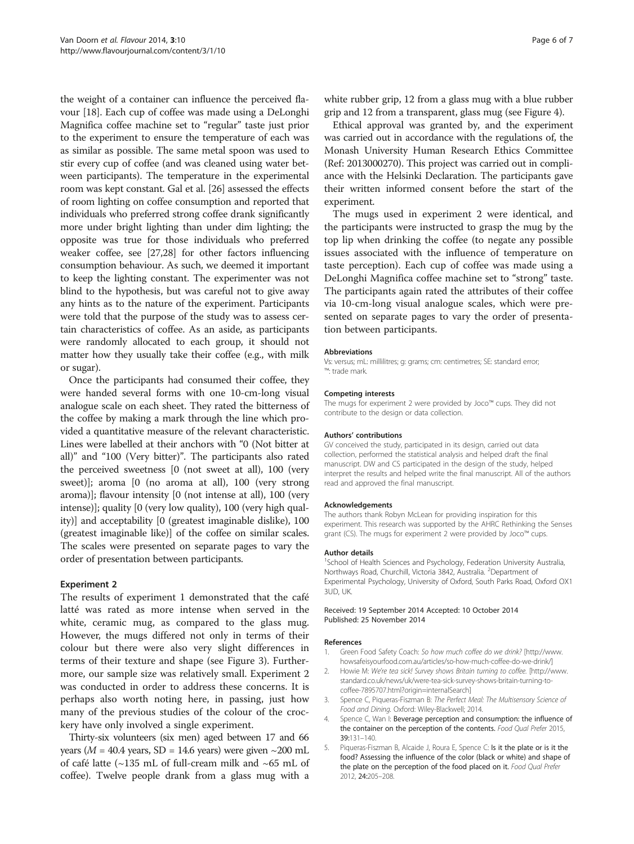<span id="page-5-0"></span>the weight of a container can influence the perceived flavour [\[18\]](#page-6-0). Each cup of coffee was made using a DeLonghi Magnifica coffee machine set to "regular" taste just prior to the experiment to ensure the temperature of each was as similar as possible. The same metal spoon was used to stir every cup of coffee (and was cleaned using water between participants). The temperature in the experimental room was kept constant. Gal et al. [[26](#page-6-0)] assessed the effects of room lighting on coffee consumption and reported that individuals who preferred strong coffee drank significantly more under bright lighting than under dim lighting; the opposite was true for those individuals who preferred weaker coffee, see [\[27,28\]](#page-6-0) for other factors influencing consumption behaviour. As such, we deemed it important to keep the lighting constant. The experimenter was not blind to the hypothesis, but was careful not to give away any hints as to the nature of the experiment. Participants were told that the purpose of the study was to assess certain characteristics of coffee. As an aside, as participants were randomly allocated to each group, it should not matter how they usually take their coffee (e.g., with milk or sugar).

Once the participants had consumed their coffee, they were handed several forms with one 10-cm-long visual analogue scale on each sheet. They rated the bitterness of the coffee by making a mark through the line which provided a quantitative measure of the relevant characteristic. Lines were labelled at their anchors with "0 (Not bitter at all)" and "100 (Very bitter)". The participants also rated the perceived sweetness [0 (not sweet at all), 100 (very sweet)]; aroma [0 (no aroma at all), 100 (very strong aroma)]; flavour intensity [0 (not intense at all), 100 (very intense)]; quality [0 (very low quality), 100 (very high quality)] and acceptability [0 (greatest imaginable dislike), 100 (greatest imaginable like)] of the coffee on similar scales. The scales were presented on separate pages to vary the order of presentation between participants.

## Experiment 2

The results of experiment 1 demonstrated that the café latté was rated as more intense when served in the white, ceramic mug, as compared to the glass mug. However, the mugs differed not only in terms of their colour but there were also very slight differences in terms of their texture and shape (see Figure [3\)](#page-4-0). Furthermore, our sample size was relatively small. Experiment 2 was conducted in order to address these concerns. It is perhaps also worth noting here, in passing, just how many of the previous studies of the colour of the crockery have only involved a single experiment.

Thirty-six volunteers (six men) aged between 17 and 66 years ( $M = 40.4$  years, SD = 14.6 years) were given  $\sim 200$  mL of café latte ( $\sim$ 135 mL of full-cream milk and  $\sim$ 65 mL of coffee). Twelve people drank from a glass mug with a

white rubber grip, 12 from a glass mug with a blue rubber grip and 12 from a transparent, glass mug (see Figure [4](#page-4-0)).

Ethical approval was granted by, and the experiment was carried out in accordance with the regulations of, the Monash University Human Research Ethics Committee (Ref: 2013000270). This project was carried out in compliance with the Helsinki Declaration. The participants gave their written informed consent before the start of the experiment.

The mugs used in experiment 2 were identical, and the participants were instructed to grasp the mug by the top lip when drinking the coffee (to negate any possible issues associated with the influence of temperature on taste perception). Each cup of coffee was made using a DeLonghi Magnifica coffee machine set to "strong" taste. The participants again rated the attributes of their coffee via 10-cm-long visual analogue scales, which were presented on separate pages to vary the order of presentation between participants.

### Abbreviations

Vs: versus; mL: millilitres; g: grams; cm: centimetres; SE: standard error; ™: trade mark.

#### Competing interests

The mugs for experiment 2 were provided by Joco™ cups. They did not contribute to the design or data collection.

#### Authors' contributions

GV conceived the study, participated in its design, carried out data collection, performed the statistical analysis and helped draft the final manuscript. DW and CS participated in the design of the study, helped interpret the results and helped write the final manuscript. All of the authors read and approved the final manuscript.

#### Acknowledgements

The authors thank Robyn McLean for providing inspiration for this experiment. This research was supported by the AHRC Rethinking the Senses grant (CS). The mugs for experiment 2 were provided by Joco™ cups.

#### Author details

<sup>1</sup>School of Health Sciences and Psychology, Federation University Australia Northways Road, Churchill, Victoria 3842, Australia. <sup>2</sup>Department of Experimental Psychology, University of Oxford, South Parks Road, Oxford OX1 3UD, UK.

#### Received: 19 September 2014 Accepted: 10 October 2014 Published: 25 November 2014

#### References

- 1. Green Food Safety Coach: So how much coffee do we drink? [\[http://www.](http://www.howsafeisyourfood.com.au/articles/so-how-much-coffee-do-we-drink/) [howsafeisyourfood.com.au/articles/so-how-much-coffee-do-we-drink/\]](http://www.howsafeisyourfood.com.au/articles/so-how-much-coffee-do-we-drink/)
- 2. Howie M: We're tea sick! Survey shows Britain turning to coffee. [\[http://www.](http://www.standard.co.uk/news/uk/were-tea-sick-survey-shows-britain-turning-to-coffee-7895707.html?origin=internalSearch) [standard.co.uk/news/uk/were-tea-sick-survey-shows-britain-turning-to](http://www.standard.co.uk/news/uk/were-tea-sick-survey-shows-britain-turning-to-coffee-7895707.html?origin=internalSearch)[coffee-7895707.html?origin=internalSearch](http://www.standard.co.uk/news/uk/were-tea-sick-survey-shows-britain-turning-to-coffee-7895707.html?origin=internalSearch)]
- 3. Spence C, Piqueras-Fiszman B: The Perfect Meal: The Multisensory Science of Food and Dining. Oxford: Wiley-Blackwell; 2014.
- 4. Spence C, Wan I: Beverage perception and consumption: the influence of the container on the perception of the contents. Food Qual Prefer 2015, 39:131–140.
- 5. Piqueras-Fiszman B, Alcaide J, Roura E, Spence C: Is it the plate or is it the food? Assessing the influence of the color (black or white) and shape of the plate on the perception of the food placed on it. Food Qual Prefer 2012, 24:205–208.